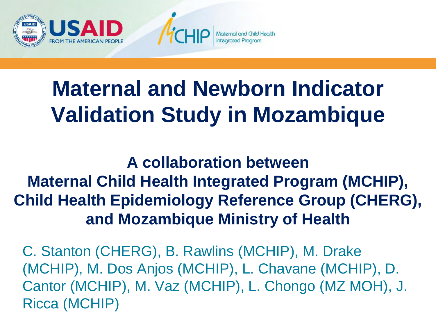

# **Maternal and Newborn Indicator Validation Study in Mozambique**

#### **A collaboration between Maternal Child Health Integrated Program (MCHIP), Child Health Epidemiology Reference Group (CHERG), and Mozambique Ministry of Health**

C. Stanton (CHERG), B. Rawlins (MCHIP), M. Drake (MCHIP), M. Dos Anjos (MCHIP), L. Chavane (MCHIP), D. Cantor (MCHIP), M. Vaz (MCHIP), L. Chongo (MZ MOH), J. Ricca (MCHIP)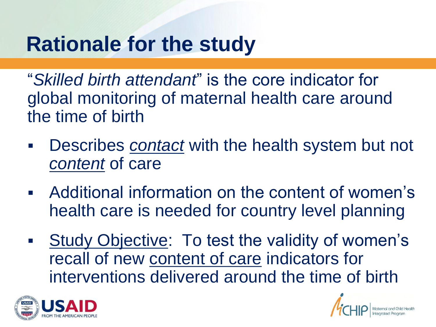### **Rationale for the study**

"*Skilled birth attendant*" is the core indicator for global monitoring of maternal health care around the time of birth

- Describes *contact* with the health system but not *content* of care
- Additional information on the content of women's health care is needed for country level planning
- Study Objective: To test the validity of women's recall of new content of care indicators for interventions delivered around the time of birth



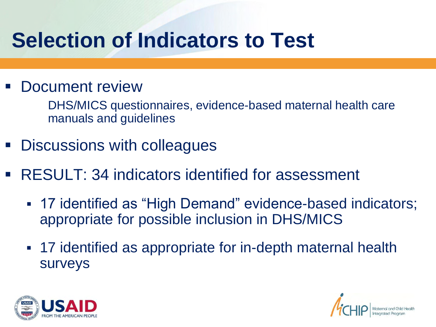## **Selection of Indicators to Test**

#### Document review

 DHS/MICS questionnaires, evidence-based maternal health care manuals and guidelines

- Discussions with colleagues
- RESULT: 34 indicators identified for assessment
	- 17 identified as "High Demand" evidence-based indicators; appropriate for possible inclusion in DHS/MICS
	- 17 identified as appropriate for in-depth maternal health surveys



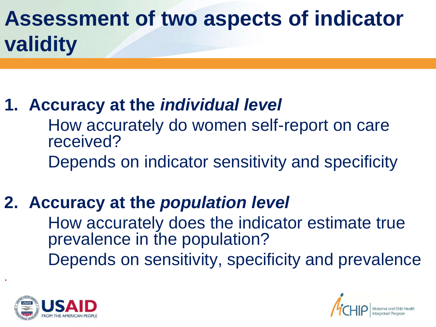## **Assessment of two aspects of indicator validity**

#### **1. Accuracy at the** *individual level*

 How accurately do women self-report on care received?

Depends on indicator sensitivity and specificity

#### **2. Accuracy at the** *population level*

 How accurately does the indicator estimate true prevalence in the population? Depends on sensitivity, specificity and prevalence



.

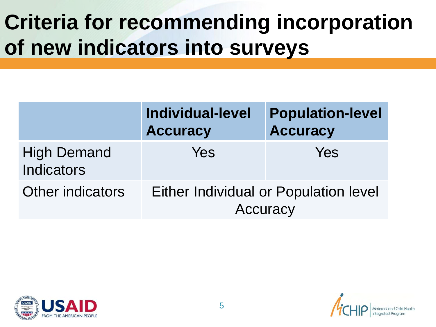# **Criteria for recommending incorporation of new indicators into surveys**

|                                         | <b>Individual-level</b><br><b>Accuracy</b>        | <b>Population-level</b><br><b>Accuracy</b> |
|-----------------------------------------|---------------------------------------------------|--------------------------------------------|
| <b>High Demand</b><br><b>Indicators</b> | Yes                                               | Yes                                        |
| <b>Other indicators</b>                 | Either Individual or Population level<br>Accuracy |                                            |



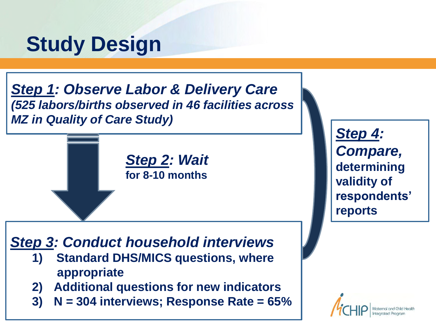### **Study Design**

*Step 1: Observe Labor & Delivery Care (525 labors/births observed in 46 facilities across MZ in Quality of Care Study)* 



*Step 3: Conduct household interviews*

- **1) Standard DHS/MICS questions, where appropriate**
- **2) Additional questions for new indicators**
- **3) N = 304 interviews; Response Rate = 65%**

*Step 4: Compare,*  **determining validity of respondents' reports** 

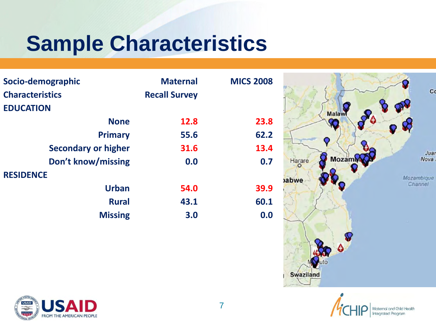## **Sample Characteristics**

| Socio-demographic          | <b>Maternal</b>      | <b>MICS 2008</b> |                          |             |
|----------------------------|----------------------|------------------|--------------------------|-------------|
| <b>Characteristics</b>     | <b>Recall Survey</b> |                  |                          | $\mathbf C$ |
| <b>EDUCATION</b>           |                      |                  | Malawi                   |             |
| <b>None</b>                | 12.8                 | 23.8             | Ø                        | Ω           |
| <b>Primary</b>             | 55.6                 | 62.2             |                          |             |
| <b>Secondary or higher</b> | 31.6                 | 13.4             |                          |             |
| Don't know/missing         | 0.0                  | 0.7              | <b>Mozamin</b><br>Harare | Jua<br>Nova |
| <b>RESIDENCE</b>           |                      |                  | abwe                     | Mozambique  |
| <b>Urban</b>               | 54.0                 | 39.9             |                          | Channel     |
| <b>Rural</b>               | 43.1                 | 60.1             |                          |             |
| <b>Missing</b>             | 3.0                  | 0.0              |                          |             |
|                            |                      |                  |                          |             |





Swaziland

 $C<sub>c</sub>$ 

Juar Nova i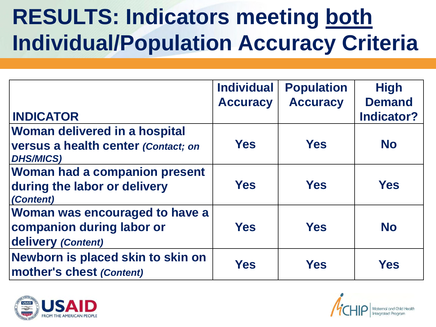# **RESULTS: Indicators meeting both Individual/Population Accuracy Criteria**

|                                                                                          | <b>Individual</b><br><b>Accuracy</b> | <b>Population</b><br><b>Accuracy</b> | <b>High</b><br><b>Demand</b> |
|------------------------------------------------------------------------------------------|--------------------------------------|--------------------------------------|------------------------------|
| <b>INDICATOR</b>                                                                         |                                      |                                      | <b>Indicator?</b>            |
| Woman delivered in a hospital<br>versus a health center (Contact; on<br><b>DHS/MICS)</b> | <b>Yes</b>                           | <b>Yes</b>                           | <b>No</b>                    |
| <b>Woman had a companion present</b><br>during the labor or delivery<br>(Content)        | <b>Yes</b>                           | <b>Yes</b>                           | <b>Yes</b>                   |
| Woman was encouraged to have a<br>companion during labor or<br>delivery (Content)        | <b>Yes</b>                           | <b>Yes</b>                           | <b>No</b>                    |
| Newborn is placed skin to skin on<br>mother's chest (Content)                            | <b>Yes</b>                           | <b>Yes</b>                           | <b>Yes</b>                   |



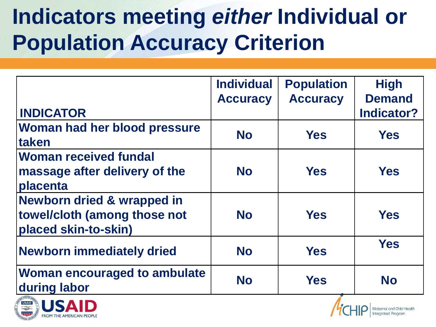# **Indicators meeting** *either* **Individual or Population Accuracy Criterion**

| <b>INDICATOR</b>                                                                              | <b>Individual</b><br><b>Accuracy</b> | <b>Population</b><br><b>Accuracy</b> | <b>High</b><br><b>Demand</b><br><b>Indicator?</b> |
|-----------------------------------------------------------------------------------------------|--------------------------------------|--------------------------------------|---------------------------------------------------|
| Woman had her blood pressure<br><b>Itaken</b>                                                 | <b>No</b>                            | <b>Yes</b>                           | <b>Yes</b>                                        |
| <b>Woman received fundal</b><br>massage after delivery of the<br>placenta                     | <b>No</b>                            | <b>Yes</b>                           | <b>Yes</b>                                        |
| <b>Newborn dried &amp; wrapped in</b><br>towel/cloth (among those not<br>placed skin-to-skin) | <b>No</b>                            | <b>Yes</b>                           | <b>Yes</b>                                        |
| <b>Newborn immediately dried</b>                                                              | <b>No</b>                            | <b>Yes</b>                           | <b>Yes</b>                                        |
| <b>Woman encouraged to ambulate</b><br>during labor                                           | <b>No</b>                            | <b>Yes</b>                           | <b>No</b>                                         |



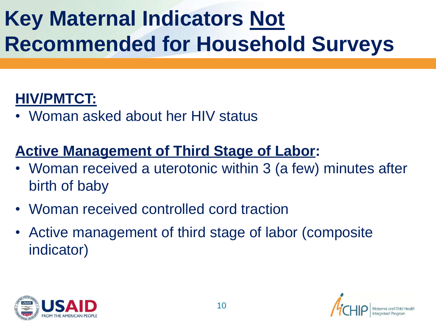# **Key Maternal Indicators Not Recommended for Household Surveys**

#### **HIV/PMTCT:**

• Woman asked about her HIV status

#### **Active Management of Third Stage of Labor:**

- Woman received a uterotonic within 3 (a few) minutes after birth of baby
- Woman received controlled cord traction
- Active management of third stage of labor (composite indicator)



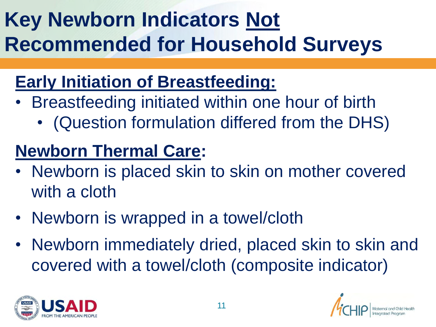# **Key Newborn Indicators Not Recommended for Household Surveys**

### **Early Initiation of Breastfeeding:**

- Breastfeeding initiated within one hour of birth
	- (Question formulation differed from the DHS)

#### **Newborn Thermal Care:**

- Newborn is placed skin to skin on mother covered with a cloth
- Newborn is wrapped in a towel/cloth
- Newborn immediately dried, placed skin to skin and covered with a towel/cloth (composite indicator)



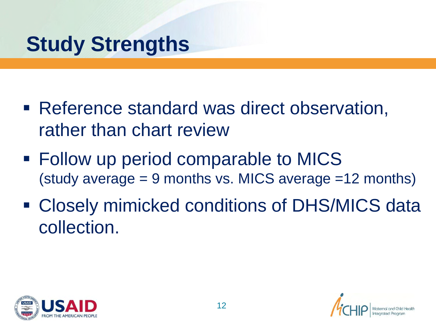## **Study Strengths**

- Reference standard was direct observation, rather than chart review
- Follow up period comparable to MICS (study average  $= 9$  months vs. MICS average  $= 12$  months)
- Closely mimicked conditions of DHS/MICS data collection.





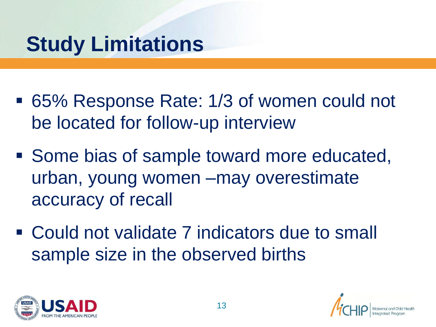# **Study Limitations**

- 65% Response Rate: 1/3 of women could not be located for follow-up interview
- Some bias of sample toward more educated, urban, young women –may overestimate accuracy of recall
- Could not validate 7 indicators due to small sample size in the observed births